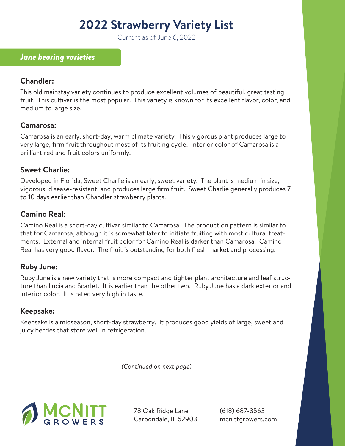# **2022 Strawberry Variety List**

Current as of June 6, 2022

## *June bearing varieties*

#### **Chandler:**

This old mainstay variety continues to produce excellent volumes of beautiful, great tasting fruit. This cultivar is the most popular. This variety is known for its excellent flavor, color, and medium to large size.

### **Camarosa:**

Camarosa is an early, short-day, warm climate variety. This vigorous plant produces large to very large, firm fruit throughout most of its fruiting cycle. Interior color of Camarosa is a brilliant red and fruit colors uniformly.

### **Sweet Charlie:**

Developed in Florida, Sweet Charlie is an early, sweet variety. The plant is medium in size, vigorous, disease-resistant, and produces large firm fruit. Sweet Charlie generally produces 7 to 10 days earlier than Chandler strawberry plants.

# **Camino Real:**

Camino Real is a short-day cultivar similar to Camarosa. The production pattern is similar to that for Camarosa, although it is somewhat later to initiate fruiting with most cultural treatments. External and internal fruit color for Camino Real is darker than Camarosa. Camino Real has very good flavor. The fruit is outstanding for both fresh market and processing.

### **Ruby June:**

Ruby June is a new variety that is more compact and tighter plant architecture and leaf structure than Lucia and Scarlet. It is earlier than the other two. Ruby June has a dark exterior and interior color. It is rated very high in taste.

### **Keepsake:**

Keepsake is a midseason, short-day strawberry. It produces good yields of large, sweet and juicy berries that store well in refrigeration.

*(Continued on next page)*



78 Oak Ridge Lane Carbondale, IL 62903 (618) 687-3563 mcnittgrowers.com